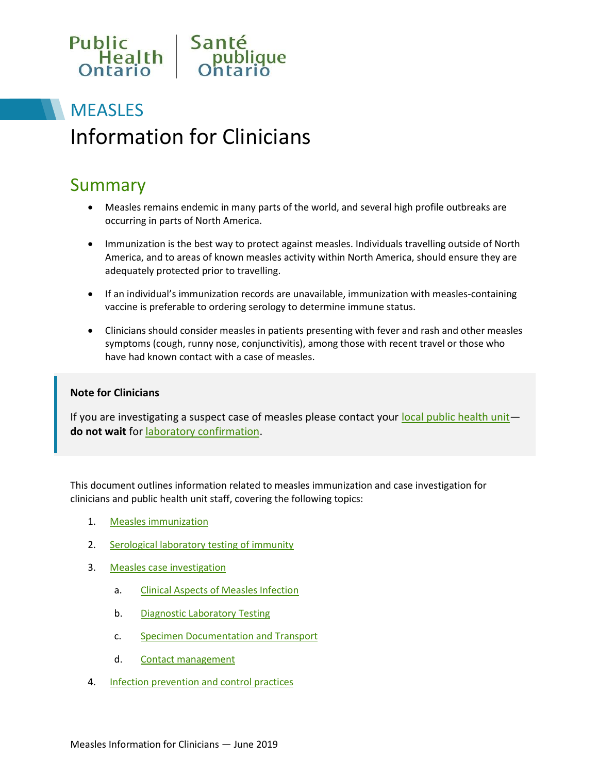

# **MEASLES** Information for Clinicians

## Summary

- Measles remains endemic in many parts of the world, and several high profile outbreaks are occurring in parts of North America.
- Immunization is the best way to protect against measles. Individuals travelling outside of North America, and to areas of known measles activity within North America, should ensure they are adequately protected prior to travelling.
- If an individual's immunization records are unavailable, immunization with measles-containing vaccine is preferable to ordering serology to determine immune status.
- Clinicians should consider measles in patients presenting with fever and rash and other measles symptoms (cough, runny nose, conjunctivitis), among those with recent travel or those who have had known contact with a case of measles.

#### **Note for Clinicians**

If you are investigating a suspect case of measles please contact your [local public health unit](http://www.health.gov.on.ca/en/common/system/services/phu/locations.aspx)**do not wait** for [laboratory confirmation.](https://www.publichealthontario.ca/en/laboratory-services/test-information-index/measles-diagnostic-pcr)

This document outlines information related to measles immunization and case investigation for clinicians and public health unit staff, covering the following topics:

- 1. [Measles immunization](#page-1-0)
- 2. [Serological laboratory testing of immunity](#page-1-1)
- 3. [Measles case investigation](#page-2-0)
	- a. [Clinical Aspects of Measles Infection](#page-2-1)
	- b. [Diagnostic Laboratory Testing](#page-2-2)
	- c. [Specimen Documentation and Transport](#page-2-3)
	- d. [Contact management](#page-2-4)
- 4. **Infection prevention and control practices**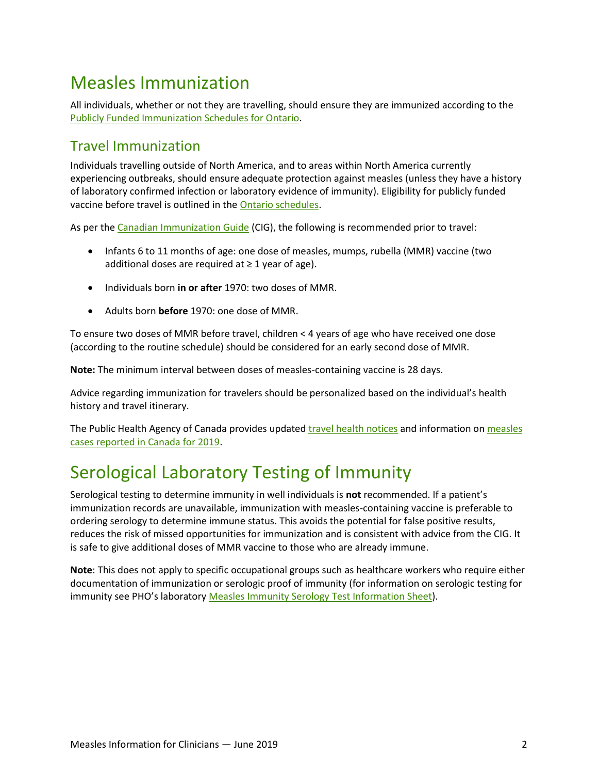# <span id="page-1-0"></span>Measles Immunization

All individuals, whether or not they are travelling, should ensure they are immunized according to the [Publicly Funded Immunization Schedules for Ontario.](http://www.health.gov.on.ca/en/pro/programs/immunization/docs/immunization_schedule.pdf)

### Travel Immunization

Individuals travelling outside of North America, and to areas within North America currently experiencing outbreaks, should ensure adequate protection against measles (unless they have a history of laboratory confirmed infection or laboratory evidence of immunity). Eligibility for publicly funded vaccine before travel is outlined in th[e Ontario schedules.](http://www.health.gov.on.ca/en/pro/programs/immunization/docs/immunization_schedule.pdf)

As per the [Canadian Immunization Guide](https://www.canada.ca/en/public-health/services/publications/healthy-living/canadian-immunization-guide-part-4-active-vaccines/page-12-measles-vaccine.html) (CIG), the following is recommended prior to travel:

- Infants 6 to 11 months of age: one dose of measles, mumps, rubella (MMR) vaccine (two additional doses are required at  $\geq 1$  year of age).
- Individuals born **in or after** 1970: two doses of MMR.
- Adults born **before** 1970: one dose of MMR.

To ensure two doses of MMR before travel, children < 4 years of age who have received one dose (according to the routine schedule) should be considered for an early second dose of MMR.

**Note:** The minimum interval between doses of measles-containing vaccine is 28 days.

Advice regarding immunization for travelers should be personalized based on the individual's health history and travel itinerary.

The Public Health Agency of Canada provides updated [travel health notices](https://travel.gc.ca/travelling/health-safety/travel-health-notices) and information on measles [cases reported in Canada for 2019.](https://www.canada.ca/en/public-health/services/diseases/measles/surveillance-measles/measles-rubella-weekly-monitoring-reports.html)

## <span id="page-1-1"></span>Serological Laboratory Testing of Immunity

Serological testing to determine immunity in well individuals is **not** recommended. If a patient's immunization records are unavailable, immunization with measles-containing vaccine is preferable to ordering serology to determine immune status. This avoids the potential for false positive results, reduces the risk of missed opportunities for immunization and is consistent with advice from the CIG. It is safe to give additional doses of MMR vaccine to those who are already immune.

**Note**: This does not apply to specific occupational groups such as healthcare workers who require either documentation of immunization or serologic proof of immunity (for information on serologic testing for immunity see PHO's laboratory [Measles Immunity Serology Test Information Sheet\)](https://www.publichealthontario.ca/en/laboratory-services/test-information-index/measles-immunity-serology).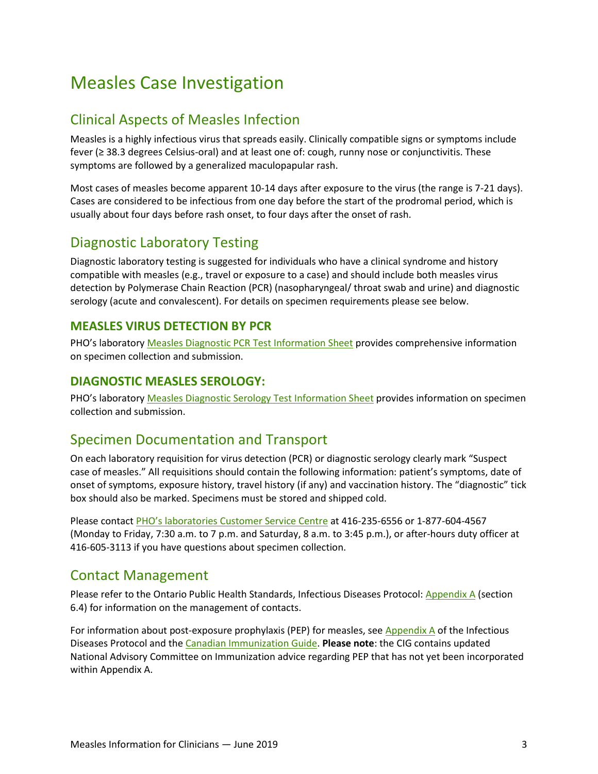## <span id="page-2-0"></span>Measles Case Investigation

### <span id="page-2-1"></span>Clinical Aspects of Measles Infection

Measles is a highly infectious virus that spreads easily. Clinically compatible signs or symptoms include fever (≥ 38.3 degrees Celsius-oral) and at least one of: cough, runny nose or conjunctivitis. These symptoms are followed by a generalized maculopapular rash.

Most cases of measles become apparent 10-14 days after exposure to the virus (the range is 7-21 days). Cases are considered to be infectious from one day before the start of the prodromal period, which is usually about four days before rash onset, to four days after the onset of rash.

### <span id="page-2-2"></span>Diagnostic Laboratory Testing

Diagnostic laboratory testing is suggested for individuals who have a clinical syndrome and history compatible with measles (e.g., travel or exposure to a case) and should include both measles virus detection by Polymerase Chain Reaction (PCR) (nasopharyngeal/ throat swab and urine) and diagnostic serology (acute and convalescent). For details on specimen requirements please see below.

#### **MEASLES VIRUS DETECTION BY PCR**

PHO's laboratory [Measles Diagnostic PCR Test Information Sheet](http://www.publichealthontario.ca/en/ServicesAndTools/LaboratoryServices/Pages/Measles_Diagnostic_-_PCR.aspx) provides comprehensive information on specimen collection and submission.

#### **DIAGNOSTIC MEASLES SEROLOGY:**

PHO's laboratory [Measles Diagnostic Serology Test Information Sheet](http://www.publichealthontario.ca/en/ServicesAndTools/LaboratoryServices/Pages/Measles_Diagnostic_Serology.aspx) provides information on specimen collection and submission.

### <span id="page-2-3"></span>Specimen Documentation and Transport

On each laboratory requisition for virus detection (PCR) or diagnostic serology clearly mark "Suspect case of measles." All requisitions should contain the following information: patient's symptoms, date of onset of symptoms, exposure history, travel history (if any) and vaccination history. The "diagnostic" tick box should also be marked. Specimens must be stored and shipped cold.

Please contact PHO's [laboratories Customer Service](https://www.publichealthontario.ca/en/laboratory-services/laboratory-contact) Centre at 416-235-6556 or 1-877-604-4567 (Monday to Friday, 7:30 a.m. to 7 p.m. and Saturday, 8 a.m. to 3:45 p.m.), or after-hours duty officer at 416-605-3113 if you have questions about specimen collection.

### <span id="page-2-4"></span>Contact Management

Please refer to the Ontario Public Health Standards, Infectious Diseases Protocol: [Appendix A](http://www.health.gov.on.ca/en/pro/programs/publichealth/oph_standards/docs/measles_chapter.pdf) (section 6.4) for information on the management of contacts.

For information about post-exposure prophylaxis (PEP) for measles, se[e Appendix A](http://www.health.gov.on.ca/en/pro/programs/publichealth/oph_standards/docs/measles_chapter.pdf) of the Infectious Diseases Protocol and the [Canadian Immunization Guide.](https://www.canada.ca/en/public-health/services/publications/healthy-living/canadian-immunization-guide-part-4-active-vaccines/page-12-measles-vaccine.html) **Please note**: the CIG contains updated National Advisory Committee on Immunization advice regarding PEP that has not yet been incorporated within Appendix A.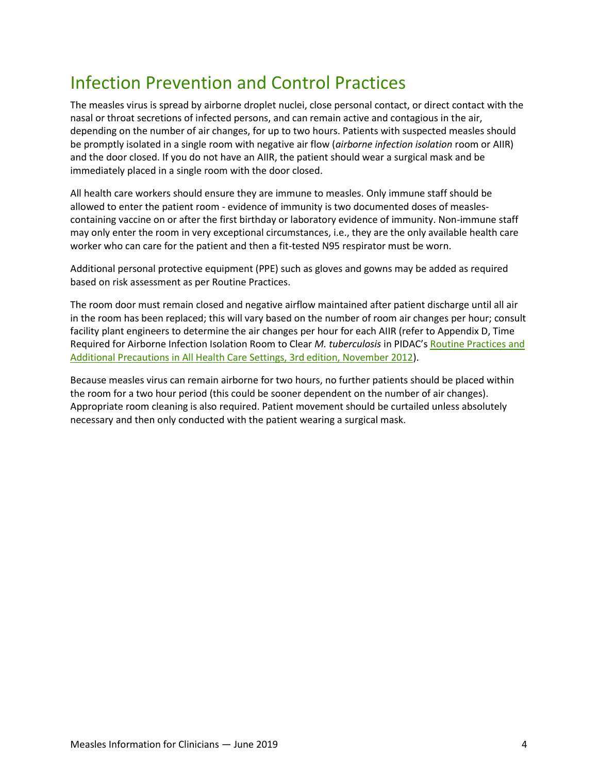# <span id="page-3-0"></span>Infection Prevention and Control Practices

The measles virus is spread by airborne droplet nuclei, close personal contact, or direct contact with the nasal or throat secretions of infected persons, and can remain active and contagious in the air, depending on the number of air changes, for up to two hours. Patients with suspected measles should be promptly isolated in a single room with negative air flow (*airborne infection isolation* room or AIIR) and the door closed. If you do not have an AIIR, the patient should wear a surgical mask and be immediately placed in a single room with the door closed.

All health care workers should ensure they are immune to measles. Only immune staff should be allowed to enter the patient room - evidence of immunity is two documented doses of measlescontaining vaccine on or after the first birthday or laboratory evidence of immunity. Non-immune staff may only enter the room in very exceptional circumstances, i.e., they are the only available health care worker who can care for the patient and then a fit-tested N95 respirator must be worn.

Additional personal protective equipment (PPE) such as gloves and gowns may be added as required based on risk assessment as per Routine Practices.

The room door must remain closed and negative airflow maintained after patient discharge until all air in the room has been replaced; this will vary based on the number of room air changes per hour; consult facility plant engineers to determine the air changes per hour for each AIIR (refer to Appendix D, Time Required for Airborne Infection Isolation Room to Clear *M. tuberculosis* in PIDAC's [Routine Practices and](https://www.publichealthontario.ca/en/health-topics/infection-prevention-control/routine-practices-additional-precautions)  [Additional Precautions in All Health Care Settings, 3rd edition, November 2012\)](https://www.publichealthontario.ca/en/health-topics/infection-prevention-control/routine-practices-additional-precautions).

Because measles virus can remain airborne for two hours, no further patients should be placed within the room for a two hour period (this could be sooner dependent on the number of air changes). Appropriate room cleaning is also required. Patient movement should be curtailed unless absolutely necessary and then only conducted with the patient wearing a surgical mask.